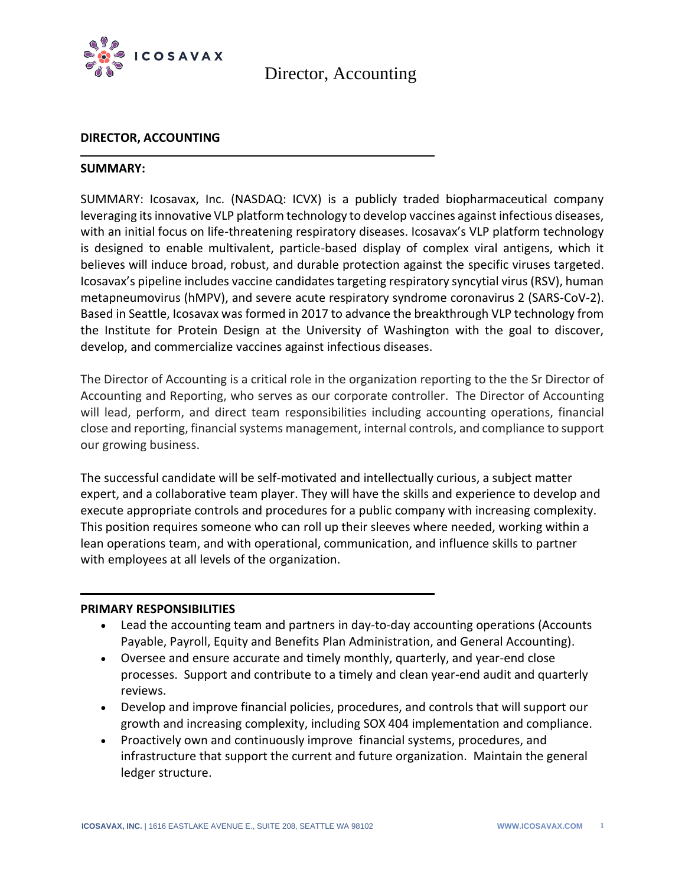

Director, Accounting

#### **DIRECTOR, ACCOUNTING**

#### **SUMMARY:**

SUMMARY: Icosavax, Inc. (NASDAQ: ICVX) is a publicly traded biopharmaceutical company leveraging its innovative VLP platform technology to develop vaccines against infectious diseases, with an initial focus on life-threatening respiratory diseases. Icosavax's VLP platform technology is designed to enable multivalent, particle-based display of complex viral antigens, which it believes will induce broad, robust, and durable protection against the specific viruses targeted. Icosavax's pipeline includes vaccine candidates targeting respiratory syncytial virus (RSV), human metapneumovirus (hMPV), and severe acute respiratory syndrome coronavirus 2 (SARS-CoV-2). Based in Seattle, Icosavax was formed in 2017 to advance the breakthrough VLP technology from the Institute for Protein Design at the University of Washington with the goal to discover, develop, and commercialize vaccines against infectious diseases.

The Director of Accounting is a critical role in the organization reporting to the the Sr Director of Accounting and Reporting, who serves as our corporate controller. The Director of Accounting will lead, perform, and direct team responsibilities including accounting operations, financial close and reporting, financial systems management, internal controls, and compliance to support our growing business.

The successful candidate will be self-motivated and intellectually curious, a subject matter expert, and a collaborative team player. They will have the skills and experience to develop and execute appropriate controls and procedures for a public company with increasing complexity. This position requires someone who can roll up their sleeves where needed, working within a lean operations team, and with operational, communication, and influence skills to partner with employees at all levels of the organization.

#### **PRIMARY RESPONSIBILITIES**

- Lead the accounting team and partners in day-to-day accounting operations (Accounts Payable, Payroll, Equity and Benefits Plan Administration, and General Accounting).
- Oversee and ensure accurate and timely monthly, quarterly, and year-end close processes. Support and contribute to a timely and clean year-end audit and quarterly reviews.
- Develop and improve financial policies, procedures, and controls that will support our growth and increasing complexity, including SOX 404 implementation and compliance.
- Proactively own and continuously improve financial systems, procedures, and infrastructure that support the current and future organization. Maintain the general ledger structure.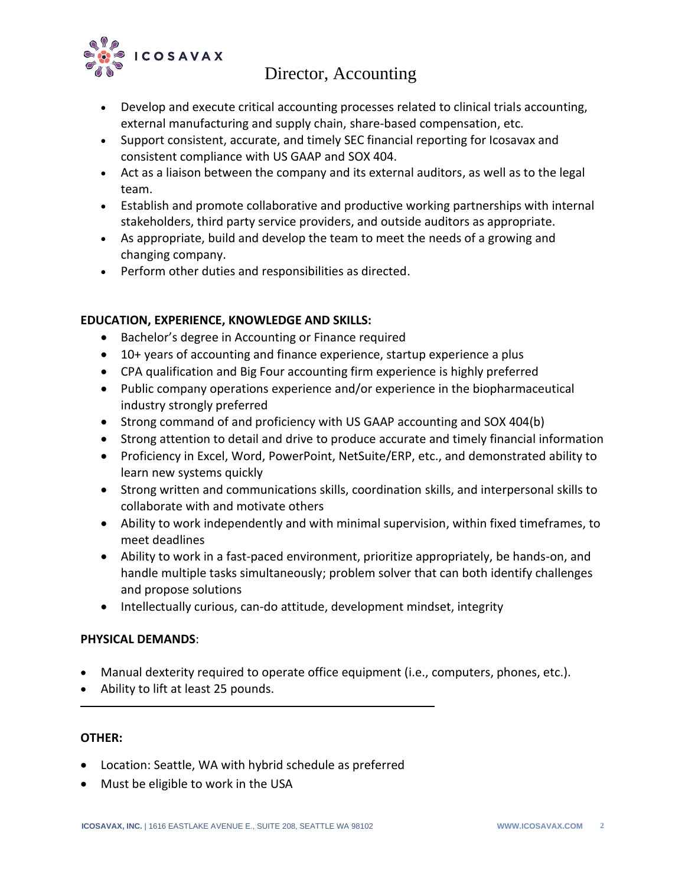

## Director, Accounting

- Develop and execute critical accounting processes related to clinical trials accounting, external manufacturing and supply chain, share-based compensation, etc.
- Support consistent, accurate, and timely SEC financial reporting for Icosavax and consistent compliance with US GAAP and SOX 404.
- Act as a liaison between the company and its external auditors, as well as to the legal team.
- Establish and promote collaborative and productive working partnerships with internal stakeholders, third party service providers, and outside auditors as appropriate.
- As appropriate, build and develop the team to meet the needs of a growing and changing company.
- Perform other duties and responsibilities as directed.

## **EDUCATION, EXPERIENCE, KNOWLEDGE AND SKILLS:**

- Bachelor's degree in Accounting or Finance required
- 10+ years of accounting and finance experience, startup experience a plus
- CPA qualification and Big Four accounting firm experience is highly preferred
- Public company operations experience and/or experience in the biopharmaceutical industry strongly preferred
- Strong command of and proficiency with US GAAP accounting and SOX 404(b)
- Strong attention to detail and drive to produce accurate and timely financial information
- Proficiency in Excel, Word, PowerPoint, NetSuite/ERP, etc., and demonstrated ability to learn new systems quickly
- Strong written and communications skills, coordination skills, and interpersonal skills to collaborate with and motivate others
- Ability to work independently and with minimal supervision, within fixed timeframes, to meet deadlines
- Ability to work in a fast-paced environment, prioritize appropriately, be hands-on, and handle multiple tasks simultaneously; problem solver that can both identify challenges and propose solutions
- Intellectually curious, can-do attitude, development mindset, integrity

## **PHYSICAL DEMANDS**:

- Manual dexterity required to operate office equipment (i.e., computers, phones, etc.).
- Ability to lift at least 25 pounds.

## **OTHER:**

- Location: Seattle, WA with hybrid schedule as preferred
- Must be eligible to work in the USA